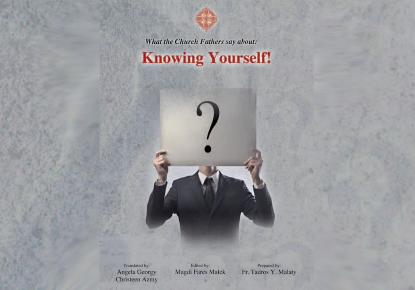

What the Church Fathers say about:

# **Knowing Yourself!**

Translated by: Angela Georgy **Christeen Azmy** 

Edited by: Magdi Fares Malek

Prepared by: Fr. Tadros Y. Malaty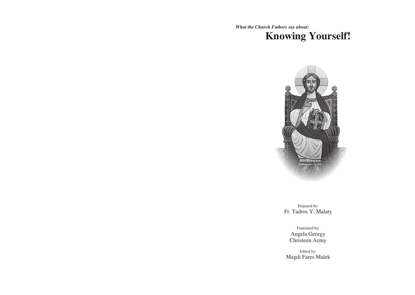*What the Church Fathers say about:*  **Knowing Yourself!**



Prepared by: Fr. Tadros Y. Malaty

> Translated by: Angela Georgy Christeen Azmy

1 Magdi Fares MalekEdited by: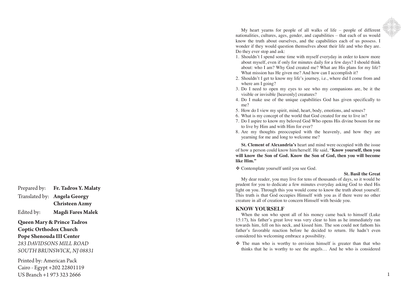Prepared by: **Fr. Tadros Y. Malaty** Translated by: **Angela Georgy Christeen Azmy**

Edited by: **Magdi Fares Malek**

# **Queen Mary & Prince Tadros Coptic Orthodox Church**

# **Pope Shenouda III Center**

*283 DAVIDSONS MILL ROAD SOUTH BRUNSWICK, NJ 08831*

Printed by: American Pack Cairo - Egypt +202 22801119 US Branch +1 973 323 2666

My heart yearns for people of all walks of life – people of different nationalities, cultures, ages, gender, and capabilities – that each of us would know the truth about ourselves, and the capabilities each of us possess. I wonder if they would question themselves about their life and who they are. Do they ever stop and ask:

- 1. Shouldn't I spend some time with myself everyday in order to know more about myself, even if only for minutes daily for a few days? I should think about: who I am ? Why God created me? What are His plans for my life ? What mission has He given me? And how can I accomplish it?
- 2 . Shouldn't I get to know my life's journey, i.e., where did I come from and where am I going?
- 3 . Do I need to open my eyes to see who my companions are, be it the visible or invisible [heavenly] creatures?
- 4 . Do I make use of the unique capabilities God has given specifically to me ?
- 5 . How do I view my spirit, mind, heart, body, emotions, and senses?
- 6 . What is my concept of the world that God created for me to live in?
- 7 . Do I aspire to know my beloved God Who opens His divine bosom for me to live by Him and with Hi m for ever ?
- 8 . Are my thoughts preoccupied with the heavenly, and how they are yearning for me and long to welcome me?

**St. Clement of Alexandria's** heart and mind were occupied with the issue of how a person could know him/herself. He said, "**Know yourself, then you will know the Son of God. Know the Son of God, then you will become like Him."**

Contemplate yourself until you see God.

## **St. Basil the Great**

My dear reader, you may live for tens of thousands of days, so it would be prudent for you to dedicate a few minutes everyday asking God to shed His light on you. Through this you would come to know the truth about yourself. This truth is that God occupies Himself with you as if there were no other creature in all of creation to concern Himself with beside you.

# **KNOW YOURSELF**

When the son who spent all of his money came back to himself (Luke 15:17), his father's great love was very clear to him as he immediately ran towards him, fell on his neck, and kissed him. The son could not fathom his father's favorable reaction before he decided to return. He hadn't even considered his welcoming embrace a possibility.

 $\div$  The man who is worthy to envision himself is greater than that who thinks that he is worthy to see the angels … And he who is considered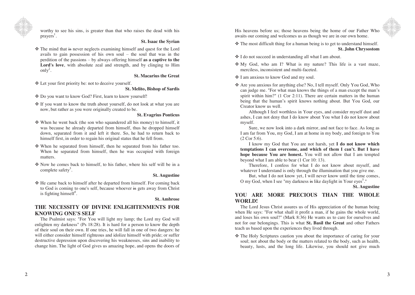

worthy to see his sins, is greater than that who raises the dead with his prayers<sup>1</sup>.

#### **St. Isaac the Syrian**

 The mind that is never neglects examining himself and quest for the Lord avails to gain possession of his own soul – the soul that was in the perdition of the passions – by always offering himself **as a captive to the Lord's love**, with absolute zeal and strength, and by clinging to Him  $\text{only}^2$ .

## **St. Macarius the Great**

Let your first priority be: not to deceive yourself.

## **St. Melito, Bishop of Sardis**

- Do you want to know God? First, learn to know yourself!
- If you want to know the truth about yourself, do not look at what you are now, but rather as you were originally created to be.

#### **St. Evagrius Ponticus**

- $\triangle$  When he went back (the son who squandered all his money) to himself, it was because he already departed from himself, thus he dropped himself down, separated from it and left it there. So, he had to return back to himself first, in order to regain his original status that he fell from.
- When he separated from himself, then he separated from his father too. When he separated from himself, then he was occupied with foreign matters.
- Now he comes back to himself, to his father, where his self will be in a complete safety<sup>3</sup>.

#### **St. Augustine**

 $\triangle$  He came back to himself after he departed from himself. For coming back to God is coming to one's self, because whoever is gets away from Christ is fighting himself<sup>4</sup>.

#### **St. Ambrose**

# **THE NECESSITY OF DIVINE ENLIGHTENMENTS FOR KNOWING ONE'S SELF**

The Psalmist says: "For You will light my lamp; the Lord my God will enlighten my darkness" (Ps 18:28). It is hard for a person to know the depth of their soul on their own. If one tries, he will fall in one of two dangers: he will either consider himself righteous and idolize himself with pride; or suffer destructive depression upon discovering his weaknesses, sins and inability to change him. The light of God gives us amazing hope, and opens the doors of His heavens before us; those heavens being the home of our Father Who awaits our coming and welcomes us as though we are in our own home.

 $\triangle$  The most difficult thing for a human being is to get to understand himself. **St. John Chrysostom**

- I do not succeed in understanding all what I am about.
- My God, who am I? What is my nature? This life is a vast maze, merciless, inconsistent and multi-faceted.

## I am anxious to know God and my soul.

 Are you anxious for anything else? No, I tell myself. Only You God, Who can judge me. "For what man knows the things of a man except the man's spirit within him?" (1 Cor 2:11). There are certain matters in the human being that the human's spirit knows nothing about. But You God, our Creator know us well.

Although I feel worthless in Your eyes, and consider myself dust and ashes, I can not deny that I do know about You what I do not know about myself.

Sure, we now look into a dark mirror, and not face to face. As long as I am far from You, my God, I am at home in my body, and foreign to You (2 Cor 5:6).

I know my God that You are not harsh, yet **I do not know which temptations I can overcome, and which of them I can't. But I have hope because You are honest.** You will not allow that I am tempted beyond what I am able to bear (1 Cor 10: 13).

Therefore, I confess for what I do not know about myself, and whatever I understand is only through the illumination that you give me.

But, what I do not know yet, I will never know until the time comes, O my God, when I see "my darkness is like daylight in Your eyes<sup>5</sup>."

**St. Augustine**

## **YOU ARE MORE PRECIOUS THAN THE WHOLE WORLD!**

The Lord Jesus Christ assures us of His appreciation of the human being when He says: "For what shall it profit a man, if he gains the whole world, and loses his own soul?" (Mark 8:36) He wants us to care for ourselves and not for our belongings. This is what **St. Basil the Great** and other Fathers teach us based upon the experiences they lived through.

 The Holy Scriptures caution you about the importance of caring for your soul; not about the body or the matters related to the body, such as health, beauty, lusts, and the long life. Likewise, you should not give much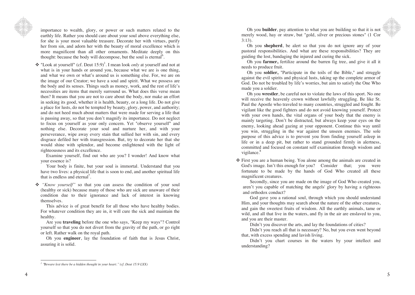

her from sin, and adorn her with the beauty of moral excellence which is more magnificent than all other ornaments. Meditate deeply on this thought: because the body will decompose, but the soul is eternal<sup>6</sup>. importance to wealth, glory, or power or such matters related to the earthly life. Rather you should care about your soul above everything else, for she is your most valuable treasure. Decorate her with virtues, purify

her from sin, and adorn her with the beauty of moral excellence which is **❖** "Look at yourself" (cf. Deut 15:9)<sup>1</sup>. I mean look *only* at yourself and not at what is in your hands or around you, because what we are is one thing, the image of our Creator; we have a soul and spirit. What we possess are 1 and what we own or what's around us is something else. For, we are on the body and its senses. Things such as money, work, and the rest of life's necessities are items that merely surround us. What does this verse mean necessities are items that merely surround us. What does this verse mean the image of our Creator; we have a soul and spirit the spirit. What we possess that we possess the possess of the body, nor make an effort in seeking its good, whether it is health, beauty, or a long life. Do not give a place for lusts, do not be tempted by beauty, glory, power, and authority;  $\frac{1}{10}$  and do not heed much about matters that were made for serving a life that is passing away, so that you don't magnify its importance. Do not neglect to focus on yourself as your only concern. Yet "observe yourself" and to focus on yourself as your only concern. Yet "observe yourself" nothing else. Decorate your soul and nurture her, and with your perseverance, wipe away every stain that sullied her with sin, and every disgrace defiled her with transgression. But, try to decorate her that she nothing the correct with and nurture her, and  $\frac{1}{2}$  is the correct with the light of righteousness and its excellence.  $\mathcal{L}$ , and the event of  $\mathcal{L}$ 

Examine yourself, find out who are you? I wonder! And know what your essence is?

Your body is finite, but your soul is immortal. Understand that you have two lives: a physical life that is soon to end, and another spiritual life that is endless and eternal<sup>7</sup>.

\* "Know yourself" so that you can assess the condition of your soul (healthy or sick) because many of those who are sick are unaware of their condition due to their ignorance and lack of interest in knowing themselves themselves.

This advice is of great benefit for all those who have healthy bodies. For whatever condition they are in, it will cure the sick and maintain the end the matrix of the sell-

Are you **traveling** before the one who says, "Keep my ways"? Control yourself so that you do not divert from the gravity of the path, or go right healthy. or left. Rather walk on the royal path.

**Oh** you **engineer**, lay the foundation of faith that is Jesus Christ,  $\frac{1}{2}$  so  $\frac{1}{2}$  and  $\frac{1}{2}$  from the gravitation of the path, or go right, or go right, or go right,  $\frac{1}{2}$ assuring it is sond. *<sup>1</sup>* "*Beware lest there be a hidden thought in your heart* assuring it is solid.

Oh you **builder** , pay attention to what you are building so that it is not merely wood, hay or straw, but "gold, silver or precious stones" (1 Cor 3:13).

Oh you **shepherd**, be alert so that you do not ignore any of your pastoral responsibilities. And what are these responsibilities? They are guiding the lost, bandaging the injured and curing the sick.

Oh you **farmer,**  fertilize around the barren fig tree, and give it all it needs to produce fruit.

Oh you **soldier,** "Participate in the toils of the Bible," and struggle against the evil spirits and physical lusts, taking up the complete armor of God. Do not be troubled by life's worries, but aim to satisfy the One Who made you a soldier.

Oh you **wrestler**, be careful not to violate the laws of this sport. No one will receive the heavenly crown without lawfully struggling. Be like St. Paul the Apostle who traveled to many countries, struggled and fought. Be vigilant like the good fighters and do not avoid knowing yourself. Protect with your own hands, the vital organs of your body that the enemy is mainly targeting . Don't be distracted, but always keep your eye s on the enemy, looking ahead gazing at your opponent . Continue this way until you win , struggling in the war against the unseen enemies. The sole purpose of this advice is to prevent you from finding yourself asleep in life or in a deep pit, but rather to stand grounded firmly in alertness, committed and focused on constant self examination through wisdom and vigilance.<sup>8</sup>

 First you are a human being. You alone among the animals are created in God's image. Isn't this enough for you? Consider that; you were fortunate to be made by the hands of God Who created all these magnificent creatures.

Secondly, since you are made on the image of God Who created you, aren't you capable of matching the angels' glory by having a righteous and orthodox conduct?

God gave you a rational soul, through which you should understand Him, and your thoughts may search about the nature of the other creatures, and gain the sweetest fruits of wisdom. All the earthly animals, tame or wild, and all that live in the waters, and fly in the air are enslaved to you, and you are their master.

Didn't you discover the arts, and lay the foundations of cities?

Didn't you reach all that is necessary? No, but you even went beyond that, with excess spending and lavish living.<br>Didn't you chart courses in the waters by your intellect and

Didn't you chart courses in the waters by your intellect and restanding? understanding?

<sup>&</sup>lt;sup>1</sup> "Beware lest there be a hidden thought in your heart." (cf. Deut 15:9 LXX) eware lest there be a hidden thought in your heart." (cf. Deut 15:9 LXX)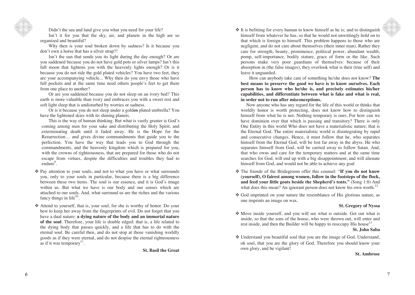

Didn't the sea and land give you what you need for your life?

Isn't it for you that the sky, air, and planets in the high are so organized and beautiful?

Why then is your soul broken down by sadness? Is it because you don't own a horse that has a silver strap?!

Isn't the sun that sends you its light during the day enough? Or are you saddened because you do not have gold pots or silver lamps? Isn't this full moon that lightens you with the heavenly lights enough? Or is it because you do not ride the gold plated vehicles? You have two feet, they are your accompanying vehicle... Why then do you envy those who have full pockets and at the same time need others people's feet to get them from one place to another?

Or are you saddened because you do not sleep on an ivory bed? This earth is more valuable than ivory and embraces you with a sweet rest and soft light sleep that is undisturbed by worries or sadness.

Or is it because you do not sleep under a golden plated umbrella? You have the lightened skies with its shining planets.

This is the way of human thinking. But what is vastly greater is God's coming among men for your sake and distributing the Holy Spirit, and exterminating death until it faded away. He is the Hope for the Resurrection… and gives divine commandments that guide you to the perfection. You have the way that leads you to God through the commandments, and the heavenly kingdom which is prepared for you, with the crowns of righteousness, that are prepared for those who do not escape from virtues, despite the difficulties and troubles they had to endure<sup>9</sup>.

- \* Pay attention to your souls, and not to what you have or what surrounds you, only to your souls in particular, because there is a big difference between these two items. The soul is our essence, and it is God's image within us. But what we have is our body and our senses which are attached to our souls. And, what surround us are the riches and the various fancy things in life $10$ .
- Attend to yourself, that is, your soul, for she is worthy of honor. Do your best to keep her away from the fingerprints of evil. Do not forget that you have a dual nature: **a dying nature of the body and an immortal nature of the soul**. Therefore, your life is double edged: that is, a life related to the dying body that passes quickly, and a life that has to do with the eternal soul. Be careful then, and do not stop at those vanishing worldly goods as if they were eternal, and do not despise the eternal righteousness as if it was temporary<sup>11</sup>.

**St. Basil the Great**

 $\cdot$  It is befitting for every human to know himself as he is; and to distinguish himself from whatever he has, so that he would not unwittingly hold on to that which is foreign to himself. This problem happens to those who are negligent, and do not care about themselves (their inner man). Rather they care for strength, beauty, prominence, political power, abundant wealth, pomp, self-importance, bodily stature, grace of form or the like. Such persons make very poor guardians of themselves: because of their absorption in (the false images), they overlook what is their (true self) and leave it unguarded.

How can anybody take care of something he/she does not know? **The best means to preserve the good we have is to know ourselves. Each person has to know who he/she is, and precisely estimates his/her capabilities, and differentiate between what is fake and what is real, in order not to run after misconceptions.** 

Now anyone who has any regard for the life of this world or thinks that worldly honor is worth protecting, does not know how to distinguish himself from what he is not. Nothing temporary is ours. For how can we have dominion over that which is passing and transitory? There is only One Entity in this world Who does not have a materialistic nature; that is the Eternal God. The entire materialistic world is disintegrating by rapid and consecutive changes. Hence, it must follow that he, who separates himself from the Eternal God, will be lost far away in the abyss. He who separates himself from God, will be carried away to follow Satan. And, that who owns and care for the temporary matters and at the same time searches for God, will end up with a big disappointment, and will alienate himself from God, and would not be able to achieve any goal

- The friends of the Bridegroom offer this counsel: "**If you do not know (yourself), O fairest among women, follow in the footsteps of the flock, and feed your little goats beside the Shepherd's tents."** (Song 1:8) And what does this mean? An ignorant person does not know his own worth.<sup>12</sup>
- God imprinted on your nature the resemblance of His glorious nature, as one imprints an image on wax.

## **St. Gregory of Nyssa**

 Move inside yourself, and you will see what is outside. Get out what is inside, so that the sons of the house, who were thrown out, will enter and rest inside, and then the Builder will be happy to reoccupy His house<sup>13</sup>.

**St. John Saba**

 Understand you beautiful soul that you are the image of God. Understand, oh soul, that you are the glory of God. Therefore you should know your own glory, and be vigilant!

#### **St. Ambrose**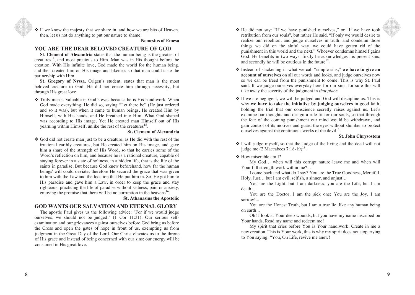$\cdot$  If we know the majesty that we share in, and how we are bits of Heaven, then, let us not do anything to put our nature to shame.

#### **Nemesius of Emesa**

# **YOU ARE THE DEAR BELOVED CREATURE OF GOD**

**St. Clement of Alexandria** states that the human being is the greatest of  $c$ reatures<sup>14</sup>, and most precious to Him. Man was in His thought before the creation. With His infinite love, God made the world for the human being, and then created him on His image and likeness so that man could taste the partnership with Him.

**St. Gregory of Nyssa**, Origen's student, states that man is the most beloved creature to God. He did not create him through necessity, but through His great love.

 Truly man is valuable in God's eyes because he is His handiwork. When God made everything, He did so, saying "Let there be" (He just ordered and so it was), but when it came to human beings, He created Him by Himself, with His hands, and He breathed into Him. What God shaped was according to His image. Yet He created man Himself out of His yearning within Himself, unlike the rest of the creatures<sup>15</sup>.

## **St. Clement of Alexandria**

 God did not create man just to be a creature, as He did with the rest of the irrational earthly creatures, but He created him on His image, and gave him a share of the strength of His Word, so that he carries some of the Word's reflection on him, and because he is a rational creature, capable of staying forever in a state of holiness, in a hidden life, that is the life of the saints in paradise. But because God knew beforehand, how far the human beings' will could deviate; therefore He secured the grace that was given to him with the Law and the location that He put him in. So, He got him to His paradise and gave him a Law, in order to keep the grace and stay righteous, practicing the life of paradise without sadness, pain or anxiety, enjoying the promise that there will be no corruption in the heavens<sup>16</sup>.

**St. Athanasius the Apostolic**

# **GOD WANTS OUR SALVATION AND ETERNAL GLORY**

of His grace and instead of being concerned with our sins; our energy will be The apostle Paul gives us the following advice: "For if we would judge ourselves, we should not be judged," (1 Cor 11:31). Our serious selfexamination and our grievances against ourselves before God bring us before the Cross and open the gates of hope in front of us, exempting us from judgment in the Great Day of the Lord. Our Christ elevates us to the throne consumed in His great love.

- \* He did not say: "If we have punished ourselves," or "If we have took retribution from our souls", but rather He said, "If only we would desire to realize our rebellion, and judge ourselves in truth, and condemn those things we did on the sinful way, we could have gotten rid of the punishment in this world and the next." Whoever condemns himself gains God. He benefits in two ways: firstly he acknowledges his present sins, and secondly he will be cautious in the future $17$ .
- \* Instead of slackening in what we call "simple sins," we have to give an **account of ourselves** on all our words and looks, and judge ourselves now so we can be freed from the punishment to come. This is why St. Paul said: If we judge ourselves everyday here for our sins, for sure this will take away the severity of the judgment in *that place*.
- $\triangle$  If we are negligent, we will be judged and God will discipline us. This is why **we have to take the initiative by judging ourselves** in good faith, holding the trial that our conscience secretly raises against us. Let's examine our thoughts and design a rule fit for our souls, so that through the fear of the coming punishment our mind would be withdrawn, and gain control of its motives and guard the eyes without slumber to protect ourselves against the continuous works of the devil<sup>18</sup>.

### **St. John Chrysostom**

 I will judge myself, so that the Judge of the living and the dead will not judge me (2 Maccabees 7:18-19)**<sup>19</sup>**.

#### ❖ How miserable am I?

My God… when will this corrupt nature leave me and when will Your full strength work within me?...

I come back and what do I say? You are the True Goodness, Merciful, Holy, Just… but I am evil, selfish, a sinner, and unjust!...

You are the Light, but I am darkness, you are the Life, but I am death!...

You are the Doctor, I am the sick one; You are the Joy, I am sorrow!...

You are the Honest Truth, but I am a true lie, like any human being on earth...

Oh! I look at Your deep wounds, but you have my name inscribed on Your hands. Read my name and redeem me!

to You saying: "You, Oh Life, revive me anew! My spirit that cries before You is Your handiwork. Create in me a new creation. This is Your work, this is why my spirit does not stop crying